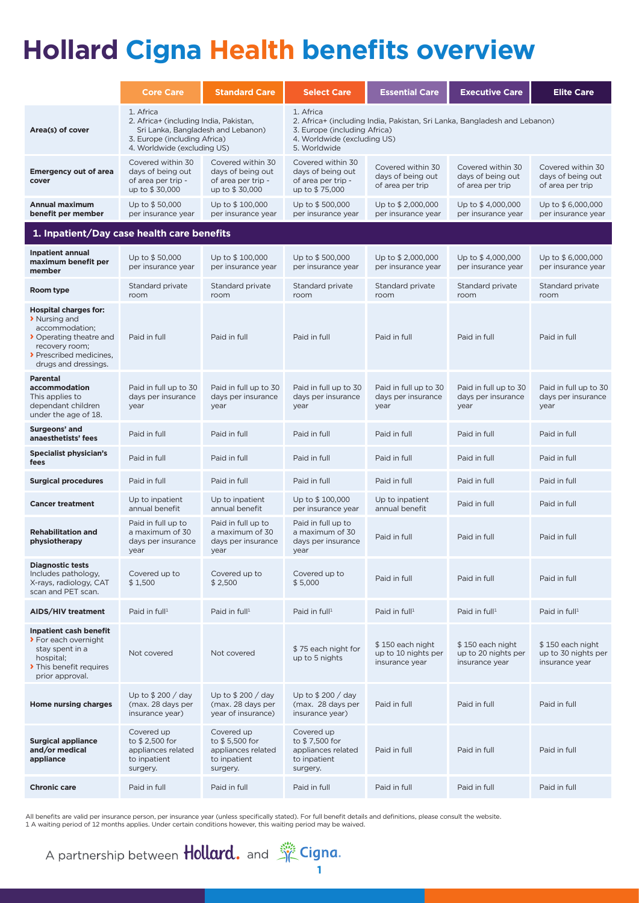## **Hollard Cigna Health benefits overview**

|                                                                                                                                                                 | <b>Core Care</b>                                                                                                                                         | <b>Standard Care</b>                                                           | <b>Select Care</b>                                                                                                                                                    | <b>Essential Care</b>                                      | <b>Executive Care</b>                                      | <b>Elite Care</b>                                          |
|-----------------------------------------------------------------------------------------------------------------------------------------------------------------|----------------------------------------------------------------------------------------------------------------------------------------------------------|--------------------------------------------------------------------------------|-----------------------------------------------------------------------------------------------------------------------------------------------------------------------|------------------------------------------------------------|------------------------------------------------------------|------------------------------------------------------------|
| Area(s) of cover                                                                                                                                                | 1. Africa<br>2. Africa+ (including India, Pakistan,<br>Sri Lanka, Bangladesh and Lebanon)<br>3. Europe (including Africa)<br>4. Worldwide (excluding US) |                                                                                | 1. Africa<br>2. Africa+ (including India, Pakistan, Sri Lanka, Bangladesh and Lebanon)<br>3. Europe (including Africa)<br>4. Worldwide (excluding US)<br>5. Worldwide |                                                            |                                                            |                                                            |
| <b>Emergency out of area</b><br>cover                                                                                                                           | Covered within 30<br>days of being out<br>of area per trip -<br>up to \$30,000                                                                           | Covered within 30<br>days of being out<br>of area per trip -<br>up to \$30,000 | Covered within 30<br>days of being out<br>of area per trip -<br>up to \$75,000                                                                                        | Covered within 30<br>days of being out<br>of area per trip | Covered within 30<br>days of being out<br>of area per trip | Covered within 30<br>days of being out<br>of area per trip |
| <b>Annual maximum</b><br>benefit per member                                                                                                                     | Up to \$50,000<br>per insurance year                                                                                                                     | Up to \$100,000<br>per insurance year                                          | Up to \$500,000<br>per insurance year                                                                                                                                 | Up to \$2,000,000<br>per insurance year                    | Up to \$4,000,000<br>per insurance year                    | Up to \$6,000,000<br>per insurance year                    |
| 1. Inpatient/Day case health care benefits                                                                                                                      |                                                                                                                                                          |                                                                                |                                                                                                                                                                       |                                                            |                                                            |                                                            |
| <b>Inpatient annual</b><br>maximum benefit per<br>member                                                                                                        | Up to \$50,000<br>per insurance year                                                                                                                     | Up to \$100,000<br>per insurance year                                          | Up to \$500,000<br>per insurance year                                                                                                                                 | Up to \$2,000,000<br>per insurance year                    | Up to \$4,000,000<br>per insurance year                    | Up to \$6,000,000<br>per insurance year                    |
| Room type                                                                                                                                                       | Standard private<br>room                                                                                                                                 | Standard private<br>room                                                       | Standard private<br>room                                                                                                                                              | Standard private<br>room                                   | Standard private<br>room                                   | Standard private<br>room                                   |
| <b>Hospital charges for:</b><br>> Nursing and<br>accommodation;<br>▶ Operating theatre and<br>recovery room;<br>▶ Prescribed medicines,<br>drugs and dressings. | Paid in full                                                                                                                                             | Paid in full                                                                   | Paid in full                                                                                                                                                          | Paid in full                                               | Paid in full                                               | Paid in full                                               |
| <b>Parental</b><br>accommodation<br>This applies to<br>dependant children<br>under the age of 18.                                                               | Paid in full up to 30<br>days per insurance<br>year                                                                                                      | Paid in full up to 30<br>days per insurance<br>year                            | Paid in full up to 30<br>days per insurance<br>year                                                                                                                   | Paid in full up to 30<br>days per insurance<br>year        | Paid in full up to 30<br>days per insurance<br>year        | Paid in full up to 30<br>days per insurance<br>year        |
| Surgeons' and<br>anaesthetists' fees                                                                                                                            | Paid in full                                                                                                                                             | Paid in full                                                                   | Paid in full                                                                                                                                                          | Paid in full                                               | Paid in full                                               | Paid in full                                               |
| <b>Specialist physician's</b><br>fees                                                                                                                           | Paid in full                                                                                                                                             | Paid in full                                                                   | Paid in full                                                                                                                                                          | Paid in full                                               | Paid in full                                               | Paid in full                                               |
| <b>Surgical procedures</b>                                                                                                                                      | Paid in full                                                                                                                                             | Paid in full                                                                   | Paid in full                                                                                                                                                          | Paid in full                                               | Paid in full                                               | Paid in full                                               |
| <b>Cancer treatment</b>                                                                                                                                         | Up to inpatient<br>annual benefit                                                                                                                        | Up to inpatient<br>annual benefit                                              | Up to \$100,000<br>per insurance year                                                                                                                                 | Up to inpatient<br>annual benefit                          | Paid in full                                               | Paid in full                                               |
| <b>Rehabilitation and</b><br>physiotherapy                                                                                                                      | Paid in full up to<br>a maximum of 30<br>days per insurance<br>year                                                                                      | Paid in full up to<br>a maximum of 30<br>days per insurance<br>year            | Paid in full up to<br>a maximum of 30<br>days per insurance<br>year                                                                                                   | Paid in full                                               | Paid in full                                               | Paid in full                                               |
| <b>Diagnostic tests</b><br>Includes pathology,<br>X-rays, radiology, CAT<br>scan and PET scan.                                                                  | Covered up to<br>\$1,500                                                                                                                                 | Covered up to<br>\$2,500                                                       | Covered up to<br>\$5,000                                                                                                                                              | Paid in full                                               | Paid in full                                               | Paid in full                                               |
| AIDS/HIV treatment                                                                                                                                              | Paid in $full1$                                                                                                                                          | Paid in $full1$                                                                | Paid in $full1$                                                                                                                                                       | Paid in $full1$                                            | Paid in $full1$                                            | Paid in $full1$                                            |
| Inpatient cash benefit<br>> For each overnight<br>stay spent in a<br>hospital;<br>This benefit requires<br>prior approval.                                      | Not covered                                                                                                                                              | Not covered                                                                    | \$75 each night for<br>up to 5 nights                                                                                                                                 | \$150 each night<br>up to 10 nights per<br>insurance year  | \$150 each night<br>up to 20 nights per<br>insurance year  | \$150 each night<br>up to 30 nights per<br>insurance year  |
| <b>Home nursing charges</b>                                                                                                                                     | Up to $$200 / day$<br>(max. 28 days per<br>insurance year)                                                                                               | Up to $$200 / day$<br>(max. 28 days per<br>year of insurance)                  | Up to \$200 / day<br>(max. 28 days per<br>insurance year)                                                                                                             | Paid in full                                               | Paid in full                                               | Paid in full                                               |
| <b>Surgical appliance</b><br>and/or medical<br>appliance                                                                                                        | Covered up<br>to \$2,500 for<br>appliances related<br>to inpatient<br>surgery.                                                                           | Covered up<br>to \$5,500 for<br>appliances related<br>to inpatient<br>surgery. | Covered up<br>to \$7,500 for<br>appliances related<br>to inpatient<br>surgery.                                                                                        | Paid in full                                               | Paid in full                                               | Paid in full                                               |
| <b>Chronic care</b>                                                                                                                                             | Paid in full                                                                                                                                             | Paid in full                                                                   | Paid in full                                                                                                                                                          | Paid in full                                               | Paid in full                                               | Paid in full                                               |

All benefits are valid per insurance person, per insurance year (unless specifically stated). For full benefit details and definitions, please consult the website.<br>1 A waiting period of 12 months applies. Under certain con

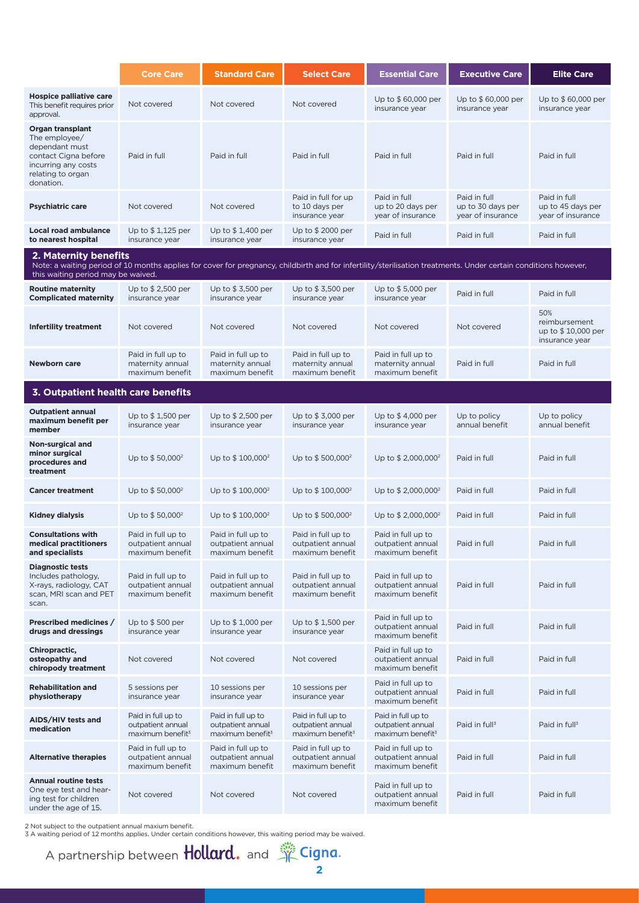|                                                                                                                                                                                                                                | <b>Core Care</b>                                                        | <b>Standard Care</b>                                                    | <b>Select Care</b>                                                      | <b>Essential Care</b>                                                   | <b>Executive Care</b>                                  | <b>Elite Care</b>                                            |
|--------------------------------------------------------------------------------------------------------------------------------------------------------------------------------------------------------------------------------|-------------------------------------------------------------------------|-------------------------------------------------------------------------|-------------------------------------------------------------------------|-------------------------------------------------------------------------|--------------------------------------------------------|--------------------------------------------------------------|
| <b>Hospice palliative care</b><br>This benefit requires prior<br>approval.                                                                                                                                                     | Not covered                                                             | Not covered                                                             | Not covered                                                             | Up to \$60,000 per<br>insurance year                                    | Up to \$60,000 per<br>insurance year                   | Up to \$60,000 per<br>insurance year                         |
| Organ transplant<br>The employee/<br>dependant must<br>contact Cigna before<br>incurring any costs<br>relating to organ<br>donation.                                                                                           | Paid in full                                                            | Paid in full                                                            | Paid in full                                                            | Paid in full                                                            | Paid in full                                           | Paid in full                                                 |
| <b>Psychiatric care</b>                                                                                                                                                                                                        | Not covered                                                             | Not covered                                                             | Paid in full for up<br>to 10 days per<br>insurance year                 | Paid in full<br>up to 20 days per<br>year of insurance                  | Paid in full<br>up to 30 days per<br>year of insurance | Paid in full<br>up to 45 days per<br>year of insurance       |
| <b>Local road ambulance</b><br>to nearest hospital                                                                                                                                                                             | Up to $$1,125$ per<br>insurance year                                    | Up to $$1,400$ per<br>insurance year                                    | Up to \$2000 per<br>insurance year                                      | Paid in full                                                            | Paid in full                                           | Paid in full                                                 |
| 2. Maternity benefits<br>Note: a waiting period of 10 months applies for cover for pregnancy, childbirth and for infertility/sterilisation treatments. Under certain conditions however,<br>this waiting period may be waived. |                                                                         |                                                                         |                                                                         |                                                                         |                                                        |                                                              |
| <b>Routine maternity</b><br><b>Complicated maternity</b>                                                                                                                                                                       | Up to \$2,500 per<br>insurance year                                     | Up to $$3,500$ per<br>insurance year                                    | Up to $$3,500$ per<br>insurance year                                    | Up to $$5,000$ per<br>insurance year                                    | Paid in full                                           | Paid in full                                                 |
| <b>Infertility treatment</b>                                                                                                                                                                                                   | Not covered                                                             | Not covered                                                             | Not covered                                                             | Not covered                                                             | Not covered                                            | 50%<br>reimbursement<br>up to \$10,000 per<br>insurance year |
| Newborn care                                                                                                                                                                                                                   | Paid in full up to<br>maternity annual<br>maximum benefit               | Paid in full up to<br>maternity annual<br>maximum benefit               | Paid in full up to<br>maternity annual<br>maximum benefit               | Paid in full up to<br>maternity annual<br>maximum benefit               | Paid in full                                           | Paid in full                                                 |
| 3. Outpatient health care benefits                                                                                                                                                                                             |                                                                         |                                                                         |                                                                         |                                                                         |                                                        |                                                              |
| <b>Outpatient annual</b><br>maximum benefit per<br>member                                                                                                                                                                      | Up to \$1,500 per<br>insurance year                                     | Up to $$2,500$ per<br>insurance year                                    | Up to $$3,000$ per<br>insurance year                                    | Up to \$4,000 per<br>insurance year                                     | Up to policy<br>annual benefit                         | Up to policy<br>annual benefit                               |
| Non-surgical and<br>minor surgical<br>procedures and<br>treatment                                                                                                                                                              | Up to \$50,000 <sup>2</sup>                                             | Up to $$100,000^2$                                                      | Up to $$500,000^2$                                                      | Up to \$2,000,000 <sup>2</sup>                                          | Paid in full                                           | Paid in full                                                 |
| <b>Cancer treatment</b>                                                                                                                                                                                                        | Up to $$50,000^2$                                                       | Up to $$100,000^2$                                                      | Up to $$100,000^2$                                                      | Up to $$2,000,000^2$                                                    | Paid in full                                           | Paid in full                                                 |
| Kidney dialysis                                                                                                                                                                                                                | Up to $$50,000^2$                                                       | Up to $$100,000^2$                                                      | Up to $$500,000^2$                                                      | Up to $$2,000,000^2$                                                    | Paid in full                                           | Paid in full                                                 |
| <b>Consultations with</b><br>medical practitioners<br>and specialists                                                                                                                                                          | Paid in full up to<br>outpatient annual<br>maximum benefit              | Paid in full up to<br>outpatient annual<br>maximum benefit              | Paid in full up to<br>outpatient annual<br>maximum benefit              | Paid in full up to<br>outpatient annual<br>maximum benefit              | Paid in full                                           | Paid in full                                                 |
| <b>Diagnostic tests</b><br>Includes pathology,<br>X-rays, radiology, CAT<br>scan, MRI scan and PET<br>scan.                                                                                                                    | Paid in full up to<br>outpatient annual<br>maximum benefit              | Paid in full up to<br>outpatient annual<br>maximum benefit              | Paid in full up to<br>outpatient annual<br>maximum benefit              | Paid in full up to<br>outpatient annual<br>maximum benefit              | Paid in full                                           | Paid in full                                                 |
| Prescribed medicines /<br>drugs and dressings                                                                                                                                                                                  | Up to $$500$ per<br>insurance year                                      | Up to $$1,000$ per<br>insurance year                                    | Up to \$1,500 per<br>insurance year                                     | Paid in full up to<br>outpatient annual<br>maximum benefit              | Paid in full                                           | Paid in full                                                 |
| Chiropractic,<br>osteopathy and<br>chiropody treatment                                                                                                                                                                         | Not covered                                                             | Not covered                                                             | Not covered                                                             | Paid in full up to<br>outpatient annual<br>maximum benefit              | Paid in full                                           | Paid in full                                                 |
| <b>Rehabilitation and</b><br>physiotherapy                                                                                                                                                                                     | 5 sessions per<br>insurance year                                        | 10 sessions per<br>insurance year                                       | 10 sessions per<br>insurance year                                       | Paid in full up to<br>outpatient annual<br>maximum benefit              | Paid in full                                           | Paid in full                                                 |
| AIDS/HIV tests and<br>medication                                                                                                                                                                                               | Paid in full up to<br>outpatient annual<br>maximum benefit <sup>3</sup> | Paid in full up to<br>outpatient annual<br>maximum benefit <sup>3</sup> | Paid in full up to<br>outpatient annual<br>maximum benefit <sup>3</sup> | Paid in full up to<br>outpatient annual<br>maximum benefit <sup>3</sup> | Paid in full <sup>3</sup>                              | Paid in full <sup>3</sup>                                    |
| <b>Alternative therapies</b>                                                                                                                                                                                                   | Paid in full up to<br>outpatient annual<br>maximum benefit              | Paid in full up to<br>outpatient annual<br>maximum benefit              | Paid in full up to<br>outpatient annual<br>maximum benefit              | Paid in full up to<br>outpatient annual<br>maximum benefit              | Paid in full                                           | Paid in full                                                 |
| <b>Annual routine tests</b><br>One eye test and hear-<br>ing test for children<br>under the age of 15.                                                                                                                         | Not covered                                                             | Not covered                                                             | Not covered                                                             | Paid in full up to<br>outpatient annual<br>maximum benefit              | Paid in full                                           | Paid in full                                                 |

2 Not subject to the outpatient annual maxium benefit. 3 A waiting period of 12 months applies. Under certain conditions however, this waiting period may be waived.

A partnership between **Hollard.** and  $\frac{1}{2}$  Cigna.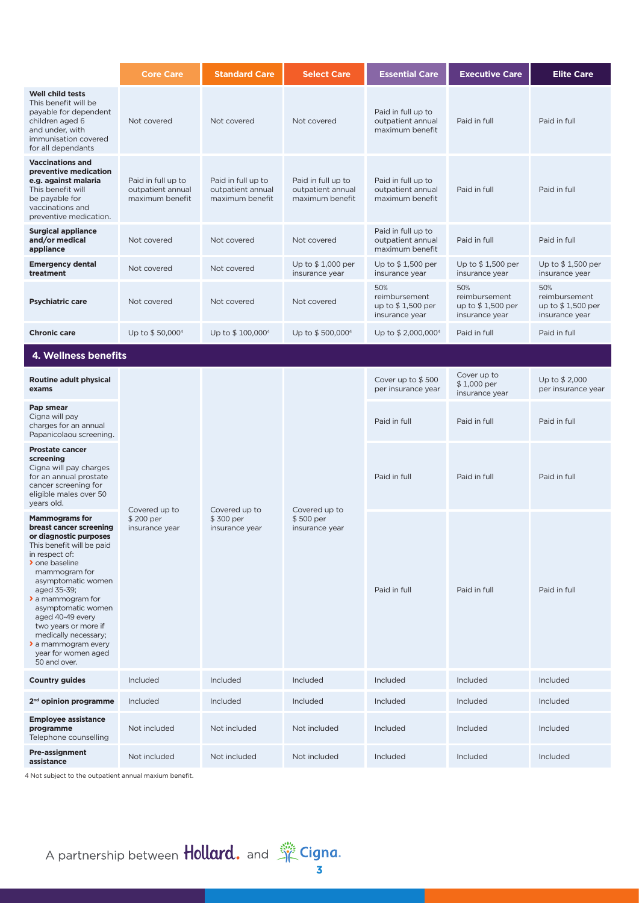|                                                                                                                                                                                                                                                                                                                                                                                        | <b>Core Care</b>                                           | <b>Standard Care</b>                                       | <b>Select Care</b>                                         | <b>Essential Care</b>                                        | <b>Executive Care</b>                                        | <b>Elite Care</b>                                                                            |
|----------------------------------------------------------------------------------------------------------------------------------------------------------------------------------------------------------------------------------------------------------------------------------------------------------------------------------------------------------------------------------------|------------------------------------------------------------|------------------------------------------------------------|------------------------------------------------------------|--------------------------------------------------------------|--------------------------------------------------------------|----------------------------------------------------------------------------------------------|
| <b>Well child tests</b><br>This benefit will be<br>payable for dependent<br>children aged 6<br>and under, with<br>immunisation covered<br>for all dependants                                                                                                                                                                                                                           | Not covered                                                | Not covered                                                | Not covered                                                | Paid in full up to<br>outpatient annual<br>maximum benefit   | Paid in full                                                 | Paid in full                                                                                 |
| <b>Vaccinations and</b><br>preventive medication<br>e.g. against malaria<br>This benefit will<br>be payable for<br>vaccinations and<br>preventive medication.                                                                                                                                                                                                                          | Paid in full up to<br>outpatient annual<br>maximum benefit | Paid in full up to<br>outpatient annual<br>maximum benefit | Paid in full up to<br>outpatient annual<br>maximum benefit | Paid in full up to<br>outpatient annual<br>maximum benefit   | Paid in full                                                 | Paid in full                                                                                 |
| <b>Surgical appliance</b><br>and/or medical<br>appliance                                                                                                                                                                                                                                                                                                                               | Not covered                                                | Not covered                                                | Not covered                                                | Paid in full up to<br>outpatient annual<br>maximum benefit   | Paid in full                                                 | Paid in full                                                                                 |
| <b>Emergency dental</b><br>treatment                                                                                                                                                                                                                                                                                                                                                   | Not covered                                                | Not covered                                                | Up to \$1,000 per<br>insurance year                        | Up to \$1,500 per<br>insurance year                          | Up to $$1,500$ per<br>insurance year                         | Up to \$1,500 per<br>insurance year                                                          |
| <b>Psychiatric care</b>                                                                                                                                                                                                                                                                                                                                                                | Not covered                                                | Not covered                                                | Not covered                                                | 50%<br>reimbursement<br>up to $$1,500$ per<br>insurance year | 50%<br>reimbursement<br>up to $$1,500$ per<br>insurance year | 50%<br>reimbursement<br>up to \$1,500 per<br>insurance year                                  |
| <b>Chronic care</b>                                                                                                                                                                                                                                                                                                                                                                    | Up to \$50,0004                                            | Up to \$100,000 <sup>4</sup>                               | Up to \$500,000 <sup>4</sup>                               | Up to \$2,000,000 <sup>4</sup>                               | Paid in full                                                 | Paid in full                                                                                 |
| 4. Wellness benefits                                                                                                                                                                                                                                                                                                                                                                   |                                                            |                                                            |                                                            |                                                              |                                                              |                                                                                              |
| Routine adult physical<br>exams                                                                                                                                                                                                                                                                                                                                                        | Covered up to<br>\$200 per<br>insurance year               |                                                            |                                                            | Cover up to $$500$<br>per insurance year                     | Cover up to<br>\$1,000 per<br>insurance year                 | Up to \$2,000<br>per insurance year                                                          |
| Pap smear<br>Cigna will pay<br>charges for an annual<br>Papanicolaou screening.                                                                                                                                                                                                                                                                                                        |                                                            |                                                            |                                                            | Paid in full                                                 | Paid in full                                                 | Paid in full<br>Paid in full<br>Paid in full<br>Included<br>Included<br>Included<br>Included |
| <b>Prostate cancer</b><br>screening<br>Cigna will pay charges<br>for an annual prostate<br>cancer screening for<br>eligible males over 50<br>years old.                                                                                                                                                                                                                                |                                                            |                                                            | Covered up to                                              | Paid in full                                                 | Paid in full                                                 |                                                                                              |
| <b>Mammograms for</b><br>breast cancer screening<br>or diagnostic purposes<br>This benefit will be paid<br>in respect of:<br>> one baseline<br>mammogram for<br>asymptomatic women<br>aged 35-39;<br>$\lambda$ a mammogram for<br>asymptomatic women<br>aged 40-49 every<br>two years or more if<br>medically necessary;<br>> a mammogram every<br>year for women aged<br>50 and over. |                                                            | Covered up to<br>\$300 per<br>insurance year               | \$500 per<br>insurance year                                | Paid in full                                                 | Paid in full                                                 |                                                                                              |
| <b>Country guides</b>                                                                                                                                                                                                                                                                                                                                                                  | Included                                                   | Included                                                   | Included                                                   | Included                                                     | Included                                                     |                                                                                              |
| 2 <sup>nd</sup> opinion programme                                                                                                                                                                                                                                                                                                                                                      | Included                                                   | Included                                                   | Included                                                   | Included                                                     | Included                                                     |                                                                                              |
| <b>Employee assistance</b><br>programme<br>Telephone counselling                                                                                                                                                                                                                                                                                                                       | Not included                                               | Not included                                               | Not included                                               | Included                                                     | Included                                                     |                                                                                              |
| <b>Pre-assignment</b><br>assistance<br>4 Not subject to the outpatient annual maxium benefit.                                                                                                                                                                                                                                                                                          | Not included                                               | Not included                                               | Not included                                               | Included                                                     | Included                                                     |                                                                                              |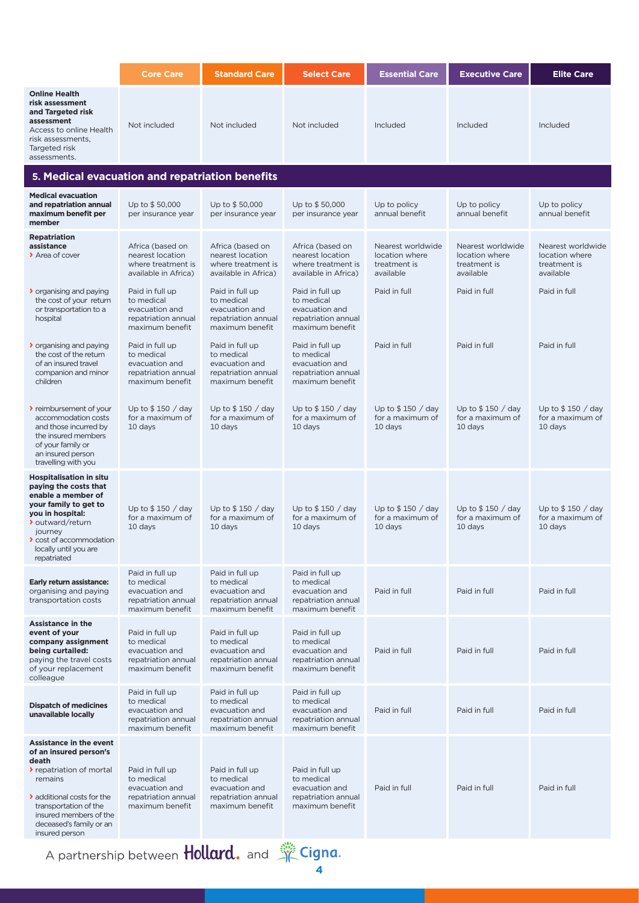|                                                                                                                                                                                                                                      | <b>Core Care</b>                                                                          | <b>Standard Care</b>                                                                      | <b>Select Care</b>                                                                        | <b>Essential Care</b>                                            | <b>Executive Care</b>                                            | <b>Elite Care</b>                                                |
|--------------------------------------------------------------------------------------------------------------------------------------------------------------------------------------------------------------------------------------|-------------------------------------------------------------------------------------------|-------------------------------------------------------------------------------------------|-------------------------------------------------------------------------------------------|------------------------------------------------------------------|------------------------------------------------------------------|------------------------------------------------------------------|
| <b>Online Health</b><br>risk assessment<br>and Targeted risk<br>assessment<br>Access to online Health<br>risk assessments,<br>Targeted risk<br>assessments.                                                                          | Not included                                                                              | Not included                                                                              | Not included                                                                              | Included                                                         | Included                                                         | Included                                                         |
| 5. Medical evacuation and repatriation benefits                                                                                                                                                                                      |                                                                                           |                                                                                           |                                                                                           |                                                                  |                                                                  |                                                                  |
| <b>Medical evacuation</b><br>and repatriation annual<br>maximum benefit per<br>member                                                                                                                                                | Up to \$50,000<br>per insurance year                                                      | Up to \$50,000<br>per insurance year                                                      | Up to \$50,000<br>per insurance year                                                      | Up to policy<br>annual benefit                                   | Up to policy<br>annual benefit                                   | Up to policy<br>annual benefit                                   |
| <b>Repatriation</b><br>assistance<br>> Area of cover                                                                                                                                                                                 | Africa (based on<br>nearest location<br>where treatment is<br>available in Africa)        | Africa (based on<br>nearest location<br>where treatment is<br>available in Africa)        | Africa (based on<br>nearest location<br>where treatment is<br>available in Africa)        | Nearest worldwide<br>location where<br>treatment is<br>available | Nearest worldwide<br>location where<br>treatment is<br>available | Nearest worldwide<br>location where<br>treatment is<br>available |
| <b>b</b> organising and paying<br>the cost of your return<br>or transportation to a<br>hospital                                                                                                                                      | Paid in full up<br>to medical<br>evacuation and<br>repatriation annual<br>maximum benefit | Paid in full up<br>to medical<br>evacuation and<br>repatriation annual<br>maximum benefit | Paid in full up<br>to medical<br>evacuation and<br>repatriation annual<br>maximum benefit | Paid in full                                                     | Paid in full                                                     | Paid in full                                                     |
| ▶ organising and paying<br>the cost of the return<br>of an insured travel<br>companion and minor<br>children                                                                                                                         | Paid in full up<br>to medical<br>evacuation and<br>repatriation annual<br>maximum benefit | Paid in full up<br>to medical<br>evacuation and<br>repatriation annual<br>maximum benefit | Paid in full up<br>to medical<br>evacuation and<br>repatriation annual<br>maximum benefit | Paid in full                                                     | Paid in full                                                     | Paid in full                                                     |
| reimbursement of your<br>accommodation costs<br>and those incurred by<br>the insured members<br>of your family or<br>an insured person<br>travelling with you                                                                        | Up to $$150 / day$<br>for a maximum of<br>10 days                                         | Up to $$150 / day$<br>for a maximum of<br>10 days                                         | Up to $$150 / day$<br>for a maximum of<br>10 days                                         | Up to $$150 / day$<br>for a maximum of<br>10 days                | Up to $$150 / day$<br>for a maximum of<br>10 days                | Up to $$150 / day$<br>for a maximum of<br>10 days                |
| <b>Hospitalisation in situ</b><br>paying the costs that<br>enable a member of<br>your family to get to<br>you in hospital:<br>> outward/return<br>journey<br>cost of accommodation<br>locally until you are<br>repatriated           | Up to $$150 / day$<br>for a maximum of<br>10 days                                         | Up to $$150 / day$<br>for a maximum of<br>10 days                                         | Up to $$150 / day$<br>for a maximum of<br>10 days                                         | Up to $$150 / day$<br>for a maximum of<br>10 days                | Up to $$150 / day$<br>for a maximum of<br>10 days                | Up to $$150 / day$<br>for a maximum of<br>10 days                |
| Early return assistance:<br>organising and paying<br>transportation costs                                                                                                                                                            | Paid in full up<br>to medical<br>evacuation and<br>repatriation annual<br>maximum benefit | Paid in full up<br>to medical<br>evacuation and<br>repatriation annual<br>maximum benefit | Paid in full up<br>to medical<br>evacuation and<br>repatriation annual<br>maximum benefit | Paid in full                                                     | Paid in full                                                     | Paid in full                                                     |
| <b>Assistance in the</b><br>event of your<br>company assignment<br>being curtailed:<br>paying the travel costs<br>of your replacement<br>colleague                                                                                   | Paid in full up<br>to medical<br>evacuation and<br>repatriation annual<br>maximum benefit | Paid in full up<br>to medical<br>evacuation and<br>repatriation annual<br>maximum benefit | Paid in full up<br>to medical<br>evacuation and<br>repatriation annual<br>maximum benefit | Paid in full                                                     | Paid in full                                                     | Paid in full                                                     |
| <b>Dispatch of medicines</b><br>unavailable locally                                                                                                                                                                                  | Paid in full up<br>to medical<br>evacuation and<br>repatriation annual<br>maximum benefit | Paid in full up<br>to medical<br>evacuation and<br>repatriation annual<br>maximum benefit | Paid in full up<br>to medical<br>evacuation and<br>repatriation annual<br>maximum benefit | Paid in full                                                     | Paid in full                                                     | Paid in full                                                     |
| <b>Assistance in the event</b><br>of an insured person's<br>death<br>repatriation of mortal<br>remains<br>> additional costs for the<br>transportation of the<br>insured members of the<br>deceased's family or an<br>insured person | Paid in full up<br>to medical<br>evacuation and<br>repatriation annual<br>maximum benefit | Paid in full up<br>to medical<br>evacuation and<br>repatriation annual<br>maximum benefit | Paid in full up<br>to medical<br>evacuation and<br>repatriation annual<br>maximum benefit | Paid in full                                                     | Paid in full                                                     | Paid in full                                                     |